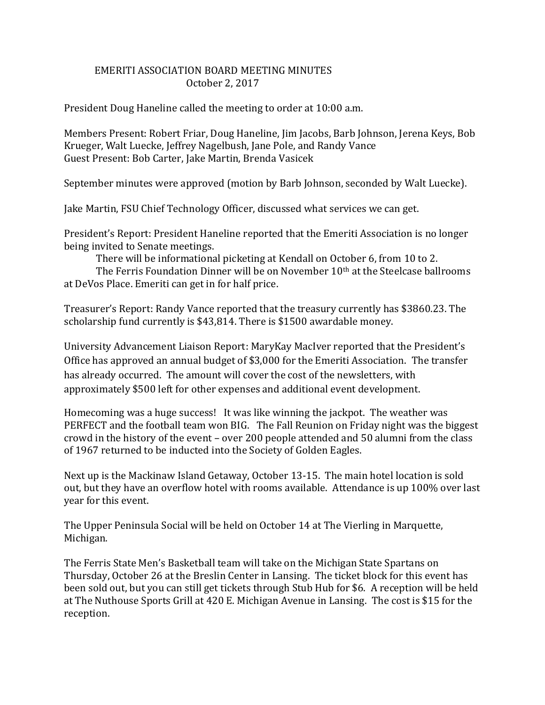## EMERITI ASSOCIATION BOARD MEETING MINUTES October 2, 2017

President Doug Haneline called the meeting to order at 10:00 a.m.

Members Present: Robert Friar, Doug Haneline, Jim Jacobs, Barb Johnson, Jerena Keys, Bob Krueger, Walt Luecke, Jeffrey Nagelbush, Jane Pole, and Randy Vance Guest Present: Bob Carter, Jake Martin, Brenda Vasicek

September minutes were approved (motion by Barb Johnson, seconded by Walt Luecke).

Jake Martin, FSU Chief Technology Officer, discussed what services we can get.

President's Report: President Haneline reported that the Emeriti Association is no longer being invited to Senate meetings.

There will be informational picketing at Kendall on October 6, from 10 to 2.

The Ferris Foundation Dinner will be on November 10<sup>th</sup> at the Steelcase ballrooms at DeVos Place. Emeriti can get in for half price.

Treasurer's Report: Randy Vance reported that the treasury currently has \$3860.23. The scholarship fund currently is \$43,814. There is \$1500 awardable money.

University Advancement Liaison Report: MaryKay MacIver reported that the President's Office has approved an annual budget of \$3,000 for the Emeriti Association. The transfer has already occurred. The amount will cover the cost of the newsletters, with approximately \$500 left for other expenses and additional event development.

Homecoming was a huge success! It was like winning the jackpot. The weather was PERFECT and the football team won BIG. The Fall Reunion on Friday night was the biggest crowd in the history of the event – over 200 people attended and 50 alumni from the class of 1967 returned to be inducted into the Society of Golden Eagles.

Next up is the Mackinaw Island Getaway, October 13-15. The main hotel location is sold out, but they have an overflow hotel with rooms available. Attendance is up 100% over last year for this event.

The Upper Peninsula Social will be held on October 14 at The Vierling in Marquette, Michigan.

The Ferris State Men's Basketball team will take on the Michigan State Spartans on Thursday, October 26 at the Breslin Center in Lansing. The ticket block for this event has been sold out, but you can still get tickets through Stub Hub for \$6. A reception will be held at The Nuthouse Sports Grill at 420 E. Michigan Avenue in Lansing. The cost is \$15 for the reception.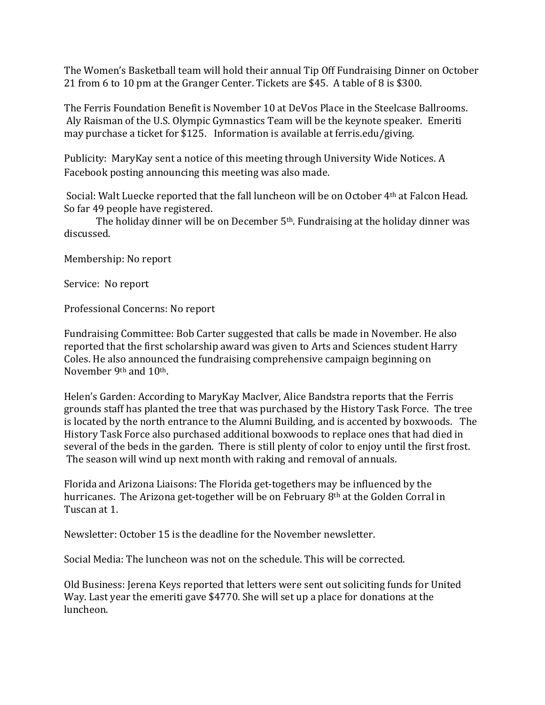The Women's Basketball team will hold their annual Tip Off Fundraising Dinner on October 21 from 6 to 10 pm at the Granger Center. Tickets are \$45. A table of 8 is \$300.

The Ferris Foundation Benefit is November 10 at DeVos Place in the Steelcase Ballrooms. Aly Raisman of the U.S. Olympic Gymnastics Team will be the keynote speaker. Emeriti may purchase a ticket for \$125. Information is available at ferris.edu/giving.

Publicity: MaryKay sent a notice of this meeting through University Wide Notices. A Facebook posting announcing this meeting was also made.

Social: Walt Luecke reported that the fall luncheon will be on October 4th at Falcon Head. So far 49 people have registered.

The holiday dinner will be on December 5<sup>th</sup>. Fundraising at the holiday dinner was discussed.

Membership: No report

Service: No report

Professional Concerns: No report

Fundraising Committee: Bob Carter suggested that calls be made in November. He also reported that the first scholarship award was given to Arts and Sciences student Harry Coles. He also announced the fundraising comprehensive campaign beginning on November 9th and 10th.

Helen's Garden: According to MaryKay MacIver, Alice Bandstra reports that the Ferris grounds staff has planted the tree that was purchased by the History Task Force. The tree is located by the north entrance to the Alumni Building, and is accented by boxwoods. The History Task Force also purchased additional boxwoods to replace ones that had died in several of the beds in the garden. There is still plenty of color to enjoy until the first frost. The season will wind up next month with raking and removal of annuals.

Florida and Arizona Liaisons: The Florida get-togethers may be influenced by the hurricanes. The Arizona get-together will be on February 8th at the Golden Corral in Tuscan at 1.

Newsletter: October 15 is the deadline for the November newsletter.

Social Media: The luncheon was not on the schedule. This will be corrected.

Old Business: Jerena Keys reported that letters were sent out soliciting funds for United Way. Last year the emeriti gave \$4770. She will set up a place for donations at the luncheon.